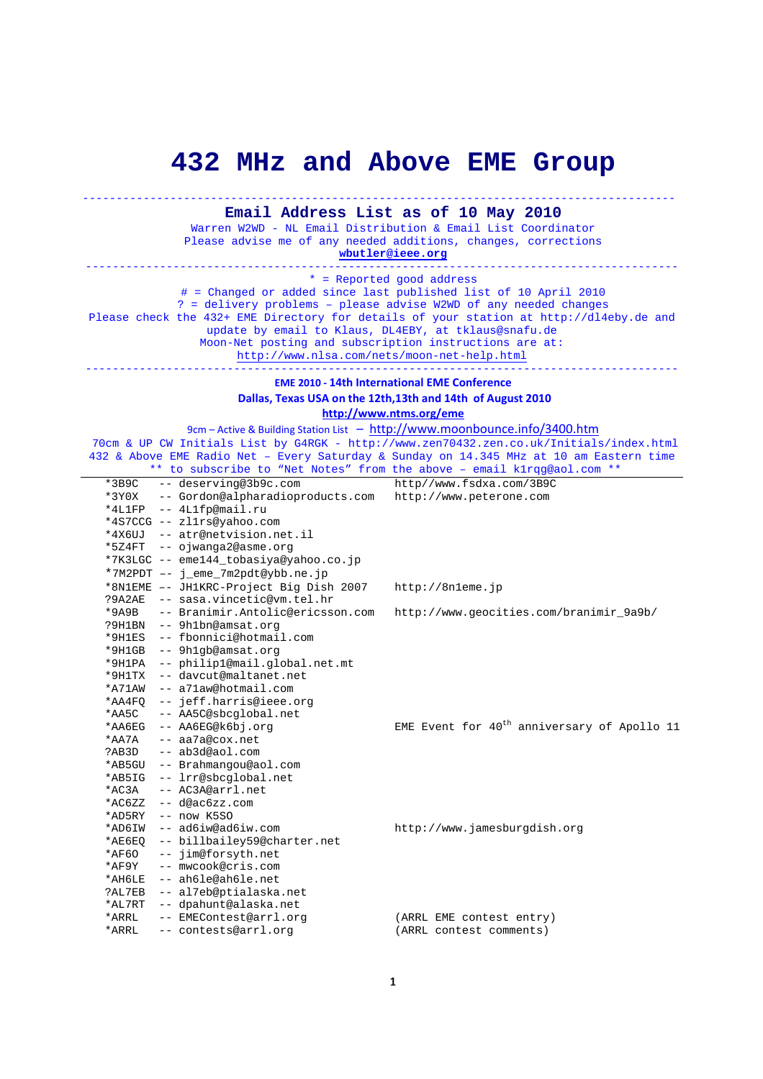## **432 MHz and Above EME Group**

## ---------------------------------------------------------------------------------------- **Email Address List as of 10 May 2010**

Warren W2WD - NL Email Distribution & Email List Coordinator Please advise me of any needed additions, changes, corrections **wbutler@ieee.org**

\* = Reported good address

----------------------------------------------------------------------------------------

# = Changed or added since last published list of 10 April 2010 ? = delivery problems – please advise W2WD of any needed changes Please check the 432+ EME Directory for details of your station at http://dl4eby.de and update by email to Klaus, DL4EBY, at tklaus@snafu.de Moon-Net posting and subscription instructions are at: http://www.nlsa.com/nets/moon-net-help.html ----------------------------------------------------------------------------------------

## **EME 2010 - 14th International EME Conference Dallas, Texas USA on the 12th,13th and 14th of August 2010 http://www.ntms.org/eme**

## 9cm – Active & Building Station List – http://www.moonbounce.info/3400.htm

 70cm & UP CW Initials List by G4RGK - http://www.zen70432.zen.co.uk/Initials/index.html 432 & Above EME Radio Net – Every Saturday & Sunday on 14.345 MHz at 10 am Eastern time

|               |                                         | ** to subscribe to "Net Notes" from the above - email klrgg@aol.com ** |
|---------------|-----------------------------------------|------------------------------------------------------------------------|
| $*3B9C$       | -- deserving@3b9c.com                   | http//www.fsdxa.com/3B9C                                               |
|               | *3Y0X -- Gordon@alpharadioproducts.com  | http://www.peterone.com                                                |
|               | *4L1FP -- 4L1fp@mail.ru                 |                                                                        |
|               | *4S7CCG -- zl1rs@yahoo.com              |                                                                        |
|               | *4X6UJ -- atr@netvision.net.il          |                                                                        |
|               | *5Z4FT -- ojwanga2@asme.org             |                                                                        |
|               | *7K3LGC -- eme144_tobasiya@yahoo.co.jp  |                                                                        |
|               | *7M2PDT -- j_eme_7m2pdt@ybb.ne.jp       |                                                                        |
|               | *8N1EME -- JH1KRC-Project Big Dish 2007 | http://8n1eme.jp                                                       |
| ?9A2AE        | -- sasa.vincetic@vm.tel.hr              |                                                                        |
| $*9A9B$       | -- Branimir.Antolic@ericsson.com        | http://www.geocities.com/branimir_9a9b/                                |
|               | ?9H1BN -- 9h1bn@amsat.org               |                                                                        |
| *9H1ES        | -- fbonnici@hotmail.com                 |                                                                        |
| *9H1GB        | -- 9h1qb@amsat.org                      |                                                                        |
| *9H1PA        | -- philipl@mail.global.net.mt           |                                                                        |
| *9H1TX        | -- davcut@maltanet.net                  |                                                                        |
| *A71AW        | -- a71aw@hotmail.com                    |                                                                        |
| *AA4FO        | -- jeff.harris@ieee.org                 |                                                                        |
| *AA5C         | -- AA5C@sbcqlobal.net                   |                                                                        |
| *AA6EG        | -- AA6EG@k6bj.org                       | EME Event for 40 <sup>th</sup> anniversary of Apollo 11                |
| *AA7A         | -- aa7a@cox.net                         |                                                                        |
| ?AB3D         | -- ab3d@aol.com                         |                                                                        |
| *AB5GU        | -- Brahmangou@aol.com                   |                                                                        |
|               | *AB5IG -- lrr@sbcqlobal.net             |                                                                        |
| *AC3A         | -- AC3A@arrl.net                        |                                                                        |
| *AC6ZZ        | -- d@ac6zz.com                          |                                                                        |
| *AD5RY        | $--$ now $K5SO$                         |                                                                        |
| *AD6IW        | -- ad6iw@ad6iw.com                      | http://www.jamesburgdish.org                                           |
| $*AE6EO$      | -- billbailey59@charter.net             |                                                                        |
| $*AF60$       | -- jim@forsyth.net                      |                                                                        |
| *AF9Y         | -- mwcook@cris.com                      |                                                                        |
| $*A$ H $6$ LE | -- ah6le@ah6le.net                      |                                                                        |
| ?AL7EB        | -- al7eb@ptialaska.net                  |                                                                        |
| *AL7RT        | -- dpahunt@alaska.net                   |                                                                        |
| *ARRL         | -- EMEContest@arrl.org                  | (ARRL EME contest entry)                                               |
| * ARRL        | -- contests@arrl.org                    | (ARRL contest comments)                                                |
|               |                                         |                                                                        |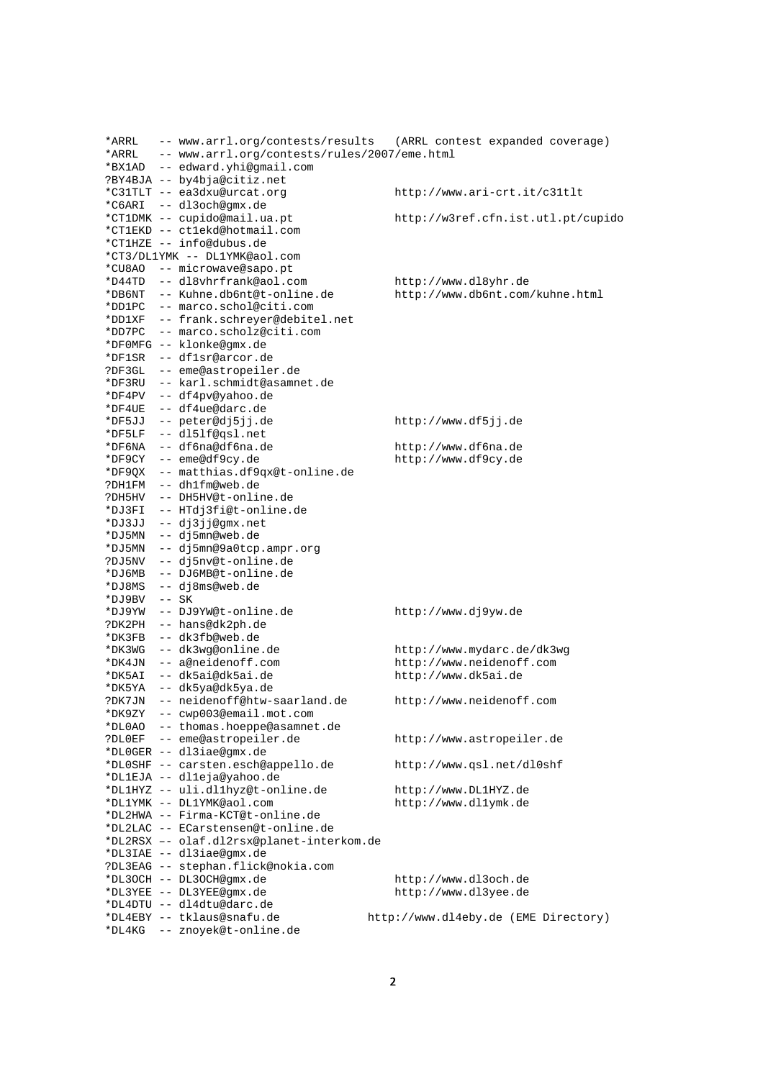| * ARRL |                                              | -- www.arrl.org/contests/results (ARRL contest expanded coverage) |
|--------|----------------------------------------------|-------------------------------------------------------------------|
| *ARRL  | -- www.arrl.org/contests/rules/2007/eme.html |                                                                   |
|        | *BX1AD -- edward.yhi@gmail.com               |                                                                   |
|        | ?BY4BJA -- by4bja@citiz.net                  |                                                                   |
|        | *C31TLT -- ea3dxu@urcat.org                  | http://www.ari-crt.it/c31tlt                                      |
|        | *C6ARI -- dl3och@qmx.de                      |                                                                   |
|        | *CT1DMK -- cupido@mail.ua.pt                 | http://w3ref.cfn.ist.utl.pt/cupido                                |
|        | *CT1EKD -- ct1ekd@hotmail.com                |                                                                   |
|        | *CT1HZE -- info@dubus.de                     |                                                                   |
|        | *CT3/DL1YMK -- DL1YMK@aol.com                |                                                                   |
| *CU8AO | -- microwave@sapo.pt                         |                                                                   |
|        | *D44TD -- dl8vhrfrank@aol.com                | http://www.dl8yhr.de                                              |
| *DB6NT | -- Kuhne.db6nt@t-online.de                   | http://www.db6nt.com/kuhne.html                                   |
| *DD1PC | -- marco.schol@citi.com                      |                                                                   |
| *DD1XF | -- frank.schreyer@debitel.net                |                                                                   |
| *DD7PC | -- marco.scholz@citi.com                     |                                                                   |
|        | *DF0MFG -- klonke@gmx.de                     |                                                                   |
| *DF1SR | -- dflsr@arcor.de                            |                                                                   |
| ?DF3GL | -- eme@astropeiler.de                        |                                                                   |
| *DF3RU | -- karl.schmidt@asamnet.de                   |                                                                   |
| *DF4PV | -- df4pv@yahoo.de                            |                                                                   |
| *DF4UE | -- df4ue@darc.de                             |                                                                   |
| *DF5JJ | -- peter@dj5jj.de                            | http://www.df5jj.de                                               |
| *DF5LF | -- dl5lf@gsl.net                             |                                                                   |
| *DF6NA | -- df6na@df6na.de                            | http://www.df6na.de                                               |
| *DF9CY | -- eme@df9cy.de                              | http://www.df9cy.de                                               |
| *DF9QX | -- matthias.df9qx@t-online.de                |                                                                   |
| ?DH1FM | -- dh1fm@web.de                              |                                                                   |
| ?DH5HV | -- DH5HV@t-online.de                         |                                                                   |
| *DJ3FI | -- HTdj3fi@t-online.de                       |                                                                   |
| *DJ3JJ | -- dj3jj@gmx.net                             |                                                                   |
| *DJ5MN | -- dj5mn@web.de                              |                                                                   |
| *DJ5MN | -- dj5mn@9a0tcp.ampr.org                     |                                                                   |
| ?DJ5NV | -- dj5nv@t-online.de                         |                                                                   |
| *DJ6MB | -- DJ6MB@t-online.de                         |                                                                   |
| *DJ8MS | -- dj8ms@web.de                              |                                                                   |
| *DJ9BV | $--$ SK                                      |                                                                   |
| *DJ9YW | -- DJ9YW@t-online.de                         | http://www.dj9yw.de                                               |
| ?DK2PH | -- hans@dk2ph.de                             |                                                                   |
| *DK3FB | -- dk3fb@web.de                              |                                                                   |
| *DK3WG | -- dk3wq@online.de                           | http://www.mydarc.de/dk3wg                                        |
| *DK4JN | -- a@neidenoff.com                           | http://www.neidenoff.com                                          |
| *DK5AI | -- dk5ai@dk5ai.de                            | http://www.dk5ai.de                                               |
| *DK5YA | -- dk5ya@dk5ya.de                            |                                                                   |
| ?DK7JN | -- neidenoff@htw-saarland.de                 | http://www.neidenoff.com                                          |
|        | *DK9ZY -- cwp003@email.mot.com               |                                                                   |
|        | *DL0AO -- thomas.hoeppe@asamnet.de           |                                                                   |
|        | ?DLOEF -- eme@astropeiler.de                 | http://www.astropeiler.de                                         |
|        | *DLOGER -- dl3iae@gmx.de                     |                                                                   |
|        | *DLOSHF -- carsten.esch@appello.de           | http://www.qsl.net/dl0shf                                         |
|        | *DL1EJA -- dl1eja@yahoo.de                   |                                                                   |
|        | *DL1HYZ -- uli.dl1hyz@t-online.de            | http://www.DL1HYZ.de                                              |
|        | *DL1YMK -- DL1YMK@aol.com                    | http://www.dl1ymk.de                                              |
|        | *DL2HWA -- Firma-KCT@t-online.de             |                                                                   |
|        | *DL2LAC -- ECarstensen@t-online.de           |                                                                   |
|        | *DL2RSX -- olaf.dl2rsx@planet-interkom.de    |                                                                   |
|        | *DL3IAE -- dl3iae@gmx.de                     |                                                                   |
|        | ?DL3EAG -- stephan.flick@nokia.com           |                                                                   |
|        | *DL3OCH -- DL3OCH@qmx.de                     | http://www.dl3och.de                                              |
|        | *DL3YEE -- DL3YEE@gmx.de                     | http://www.dl3yee.de                                              |
|        | *DL4DTU -- dl4dtu@darc.de                    |                                                                   |
|        | *DL4EBY -- tklaus@snafu.de                   | http://www.dl4eby.de (EME Directory)                              |
|        | *DL4KG -- znoyek@t-online.de                 |                                                                   |
|        |                                              |                                                                   |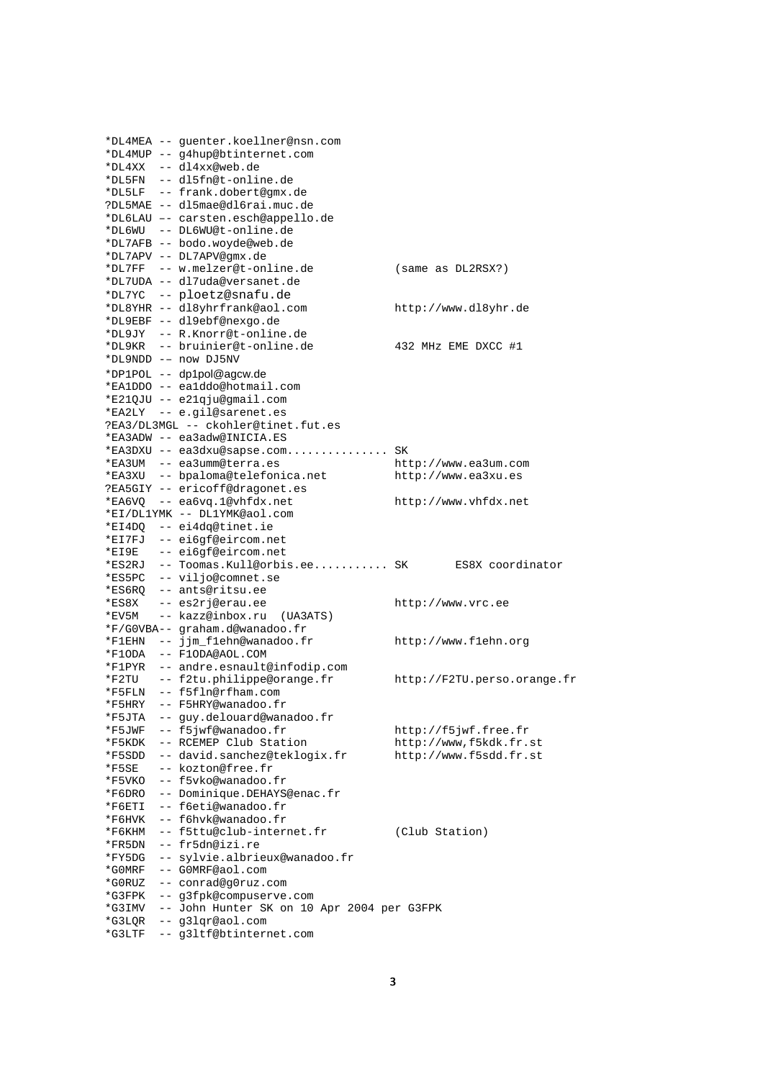|                  | *DL4MEA -- guenter.koellner@nsn.com<br>*DL4MUP -- q4hup@btinternet.com |                             |
|------------------|------------------------------------------------------------------------|-----------------------------|
|                  | *DL4XX -- dl4xx@web.de                                                 |                             |
|                  | *DL5FN -- dl5fn@t-online.de                                            |                             |
|                  | *DL5LF -- frank.dobert@gmx.de                                          |                             |
|                  | ?DL5MAE -- dl5mae@dl6rai.muc.de                                        |                             |
|                  | *DL6LAU -- carsten.esch@appello.de                                     |                             |
|                  | *DL6WU -- DL6WU@t-online.de                                            |                             |
|                  | *DL7AFB -- bodo.woyde@web.de                                           |                             |
|                  | *DL7APV -- DL7APV@qmx.de                                               |                             |
|                  | *DL7FF -- w.melzer@t-online.de                                         | (same as DL2RSX?)           |
|                  | *DL7UDA -- dl7uda@versanet.de                                          |                             |
|                  | *DL7YC -- ploetz@snafu.de                                              |                             |
|                  | *DL8YHR -- dl8yhrfrank@aol.com                                         | http://www.dl8yhr.de        |
|                  | *DL9EBF -- dl9ebf@nexgo.de                                             |                             |
|                  | *DL9JY -- R.Knorr@t-online.de                                          |                             |
|                  | *DL9KR -- bruinier@t-online.de                                         | 432 MHz EME DXCC #1         |
|                  | *DL9NDD -- now DJ5NV                                                   |                             |
|                  | *DP1POL -- dp1pol@agcw.de                                              |                             |
|                  | *EA1DDO -- ea1ddo@hotmail.com                                          |                             |
|                  | *E21QJU -- e21qju@gmail.com                                            |                             |
|                  | *EA2LY -- e.gil@sarenet.es                                             |                             |
|                  | ?EA3/DL3MGL -- ckohler@tinet.fut.es                                    |                             |
|                  | *EA3ADW -- ea3adw@INICIA.ES                                            |                             |
|                  | *EA3DXU -- ea3dxu@sapse.com SK                                         |                             |
|                  | $*$ EA3UM $-$ ea3umm@terra.es                                          | http://www.ea3um.com        |
|                  | *EA3XU -- bpaloma@telefonica.net                                       | http://www.ea3xu.es         |
|                  | ?EA5GIY -- ericoff@dragonet.es                                         |                             |
|                  | *EA6VQ -- ea6vq.1@vhfdx.net                                            | http://www.vhfdx.net        |
|                  | *EI/DL1YMK -- DL1YMK@aol.com                                           |                             |
|                  | *EI4DQ -- ei4dq@tinet.ie                                               |                             |
|                  | *EI7FJ -- ei6gf@eircom.net                                             |                             |
|                  | *EI9E -- ei6gf@eircom.net                                              |                             |
|                  | *ES2RJ -- Toomas. Kull@orbis.ee SK ES8X coordinator                    |                             |
|                  | *ES5PC -- viljo@comnet.se                                              |                             |
| *ES6RQ           | -- ants@ritsu.ee                                                       |                             |
|                  | *ES8X -- es2rj@erau.ee                                                 | http://www.vrc.ee           |
|                  | *EV5M -- kazz@inbox.ru (UA3ATS)                                        |                             |
|                  | *F/G0VBA-- graham.d@wanadoo.fr<br>*F1EHN -- jjm f1ehn@wanadoo.fr       |                             |
|                  | *F1ODA -- F1ODA@AOL.COM                                                | http://www.flehn.org        |
| *F1PYR           | -- andre.esnault@infodip.com                                           |                             |
| *F2TU            | -- f2tu.philippe@orange.fr                                             | http://F2TU.perso.orange.fr |
| *F5FLN           | -- f5fln@rfham.com                                                     |                             |
| *F5HRY           | -- F5HRY@wanadoo.fr                                                    |                             |
| *F5JTA           | -- guy.delouard@wanadoo.fr                                             |                             |
| *F5JWF           | -- f5jwf@wanadoo.fr                                                    | http://f5jwf.free.fr        |
| *F5KDK           | -- RCEMEP Club Station                                                 | http://www.f5kdk.fr.st      |
| *F5SDD           | -- david.sanchez@teklogix.fr                                           | http://www.f5sdd.fr.st      |
| *F5SE            | -- kozton@free.fr                                                      |                             |
| *F5VKO           | -- f5vko@wanadoo.fr                                                    |                             |
| *F6DRO           | -- Dominique.DEHAYS@enac.fr                                            |                             |
| *F6ETI           | -- f6eti@wanadoo.fr                                                    |                             |
| *F6HVK           | -- f6hvk@wanadoo.fr                                                    |                             |
| * Ғ6КНМ          | -- f5ttu@club-internet.fr                                              | (Club Station)              |
| *FR5DN           | -- fr5dn@izi.re                                                        |                             |
| *FY5DG           | -- sylvie.albrieux@wanadoo.fr                                          |                             |
| *GOMRF           | -- GOMRF@aol.com                                                       |                             |
| *G0RUZ           | -- conrad@g0ruz.com                                                    |                             |
|                  | -- g3fpk@compuserve.com                                                |                             |
| *G3FPK           |                                                                        |                             |
| *G3IMV           | -- John Hunter SK on 10 Apr 2004 per G3FPK                             |                             |
| *G3LQR<br>*G3LTF | -- q3lqr@aol.com<br>-- g3ltf@btinternet.com                            |                             |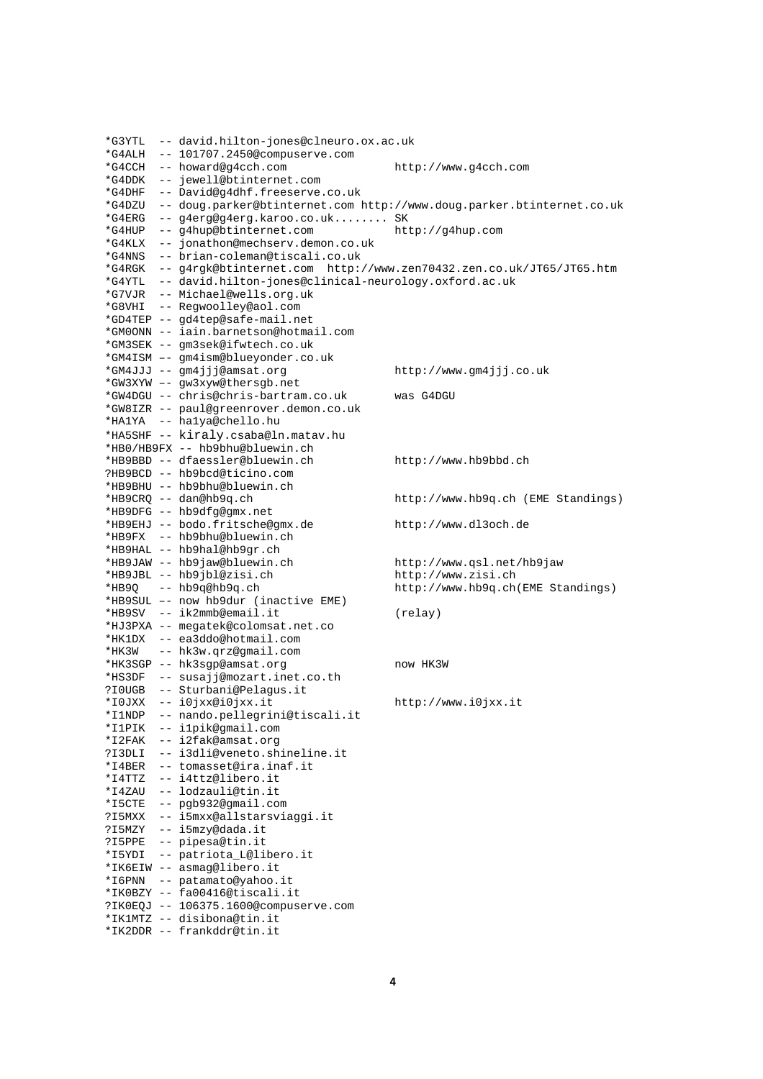```
*G3YTL -- david.hilton-jones@clneuro.ox.ac.uk 
*G4ALH -- 101707.2450@compuserve.com 
*G4CCH -- howard@g4cch.com http://www.g4cch.com 
*G4DDK -- jewell@btinternet.com 
*G4DHF -- David@g4dhf.freeserve.co.uk 
*G4DZU -- doug.parker@btinternet.com http://www.doug.parker.btinternet.co.uk 
*G4ERG -- g4erg@g4erg.karoo.co.uk........ SK 
       -- g4hup@btinternet.com
*G4KLX -- jonathon@mechserv.demon.co.uk 
*G4NNS -- brian-coleman@tiscali.co.uk 
*G4RGK -- g4rgk@btinternet.com http://www.zen70432.zen.co.uk/JT65/JT65.htm 
*G4YTL -- david.hilton-jones@clinical-neurology.oxford.ac.uk 
*G7VJR -- Michael@wells.org.uk 
*G8VHI -- Regwoolley@aol.com 
*GD4TEP -- gd4tep@safe-mail.net 
*GM0ONN -- iain.barnetson@hotmail.com 
*GM3SEK -- gm3sek@ifwtech.co.uk 
*GM4ISM –- gm4ism@blueyonder.co.uk 
*GM4JJJ -- gm4jjj@amsat.org http://www.gm4jjj.co.uk 
*GW3XYW –- gw3xyw@thersgb.net 
*GW4DGU -- chris@chris-bartram.co.uk was G4DGU 
*GW8IZR -- paul@greenrover.demon.co.uk 
*HA1YA -- ha1ya@chello.hu 
*HA5SHF -- kiraly.csaba@ln.matav.hu 
*HB0/HB9FX -- hb9bhu@bluewin.ch 
*HB9BBD -- dfaessler@bluewin.ch http://www.hb9bbd.ch 
?HB9BCD -- hb9bcd@ticino.com 
*HB9BHU -- hb9bhu@bluewin.ch 
*HB9CRQ -- dan@hb9q.ch http://www.hb9q.ch (EME Standings) 
*HB9DFG -- hb9dfg@gmx.net 
*HB9EHJ -- bodo.fritsche@gmx.de http://www.dl3och.de 
*HB9FX -- hb9bhu@bluewin.ch 
*HB9HAL -- hb9hal@hb9gr.ch 
*HB9JAW -- hb9jaw@bluewin.ch http://www.qsl.net/hb9jaw 
*HB9JBL -- hb9jbl@zisi.ch http://www.zisi.ch 
                                        http://www.hb9q.ch(EME Standings)
*HB9SUL –- now hb9dur (inactive EME) 
*HB9SV -- ik2mmb@email.it (relay) 
*HJ3PXA -- megatek@colomsat.net.co 
*HK1DX -- ea3ddo@hotmail.com 
       -- hk3w.qrz@gmail.com
*HK3SGP -- hk3sgp@amsat.org now HK3W
*HS3DF -- susajj@mozart.inet.co.th 
?I0UGB -- Sturbani@Pelagus.it 
*I0JXX -- i0jxx@i0jxx.it http://www.i0jxx.it 
*I1NDP -- nando.pellegrini@tiscali.it 
*I1PIK -- i1pik@gmail.com 
*I2FAK -- i2fak@amsat.org 
?I3DLI -- i3dli@veneto.shineline.it 
*I4BER -- tomasset@ira.inaf.it 
*I4TTZ -- i4ttz@libero.it 
*I4ZAU -- lodzauli@tin.it 
*I5CTE -- pgb932@gmail.com 
?I5MXX -- i5mxx@allstarsviaggi.it 
?I5MZY -- i5mzy@dada.it 
?I5PPE -- pipesa@tin.it 
*I5YDI -- patriota_L@libero.it 
*IK6EIW -- asmag@libero.it
*I6PNN -- patamato@yahoo.it 
*IK0BZY -- fa00416@tiscali.it 
?IK0EQJ -- 106375.1600@compuserve.com 
*IK1MTZ -- disibona@tin.it 
*IK2DDR -- frankddr@tin.it
```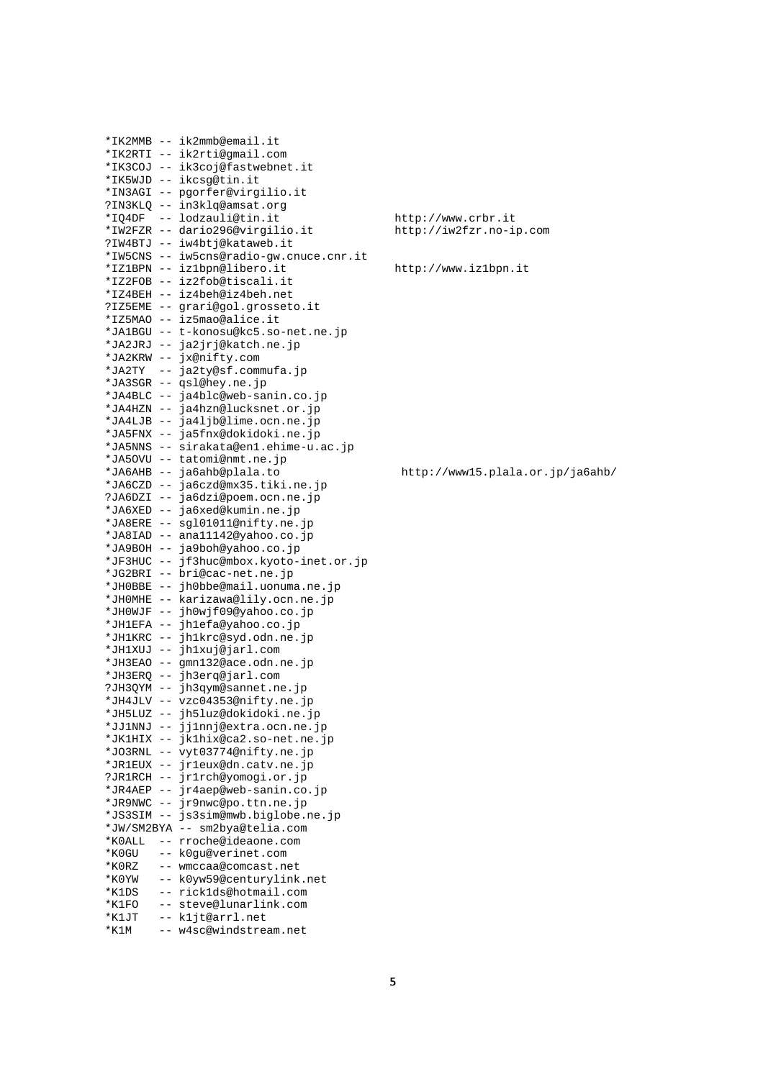```
*IK2MMB -- ik2mmb@email.it 
*IK2RTI -- ik2rti@gmail.com 
*IK3COJ -- ik3coj@fastwebnet.it 
*IK5WJD -- ikcsg@tin.it 
*IN3AGI -- pgorfer@virgilio.it 
?IN3KLQ -- in3klq@amsat.org 
*IQ4DF -- lodzauli@tin.it http://www.crbr.it 
*IW2FZR -- dario296@virgilio.it
?IW4BTJ -- iw4btj@kataweb.it 
*IW5CNS -- iw5cns@radio-gw.cnuce.cnr.it 
*IZ1BPN -- iz1bpn@libero.it http://www.iz1bpn.it 
*IZ2FOB -- iz2fob@tiscali.it 
*IZ4BEH -- iz4beh@iz4beh.net 
?IZ5EME -- grari@gol.grosseto.it 
*IZ5MAO -- iz5mao@alice.it 
*JA1BGU -- t-konosu@kc5.so-net.ne.jp 
*JA2JRJ -- ja2jrj@katch.ne.jp 
*JA2KRW -- jx@nifty.com 
*JA2TY -- ja2ty@sf.commufa.jp 
*JA3SGR -- qsl@hey.ne.jp 
*JA4BLC -- ja4blc@web-sanin.co.jp 
*JA4HZN -- ja4hzn@lucksnet.or.jp 
*JA4LJB -- ja4ljb@lime.ocn.ne.jp 
*JA5FNX -- ja5fnx@dokidoki.ne.jp 
*JA5NNS -- sirakata@en1.ehime-u.ac.jp 
*JA5OVU -- tatomi@nmt.ne.jp 
                                            http://www15.plala.or.jp/ja6ahb/
*JA6CZD -- ja6czd@mx35.tiki.ne.jp 
?JA6DZI -- ja6dzi@poem.ocn.ne.jp 
*JA6XED -- ja6xed@kumin.ne.jp 
*JA8ERE -- sgl01011@nifty.ne.jp 
*JA8IAD -- ana11142@yahoo.co.jp 
*JA9BOH -- ja9boh@yahoo.co.jp 
*JF3HUC -- jf3huc@mbox.kyoto-inet.or.jp 
*JG2BRI -- bri@cac-net.ne.jp 
*JH0BBE -- jh0bbe@mail.uonuma.ne.jp 
*JH0MHE -- karizawa@lily.ocn.ne.jp 
*JH0WJF -- jh0wjf09@yahoo.co.jp 
*JH1EFA -- jh1efa@yahoo.co.jp 
*JH1KRC -- jh1krc@syd.odn.ne.jp 
*JH1XUJ -- jh1xuj@jarl.com 
*JH3EAO -- gmn132@ace.odn.ne.jp 
*JH3ERQ -- jh3erq@jarl.com 
?JH3QYM -- jh3qym@sannet.ne.jp
*JH4JLV -- vzc04353@nifty.ne.jp 
*JH5LUZ -- jh5luz@dokidoki.ne.jp 
*JJ1NNJ -- jj1nnj@extra.ocn.ne.jp 
*JK1HIX -- jk1hix@ca2.so-net.ne.jp 
*JO3RNL -- vyt03774@nifty.ne.jp 
*JR1EUX -- jr1eux@dn.catv.ne.jp 
?JR1RCH -- jr1rch@yomogi.or.jp 
*JR4AEP -- jr4aep@web-sanin.co.jp 
*JR9NWC -- jr9nwc@po.ttn.ne.jp 
*JS3SIM -- js3sim@mwb.biglobe.ne.jp 
*JW/SM2BYA -- sm2bya@telia.com 
*K0ALL -- rroche@ideaone.com 
*K0GU -- k0gu@verinet.com 
*K0RZ -- wmccaa@comcast.net 
*K0YW -- k0yw59@centurylink.net 
*K1DS -- rick1ds@hotmail.com 
*K1FO -- steve@lunarlink.com 
*K1JT -- k1jt@arrl.net 
*K1M -- w4sc@windstream.net
```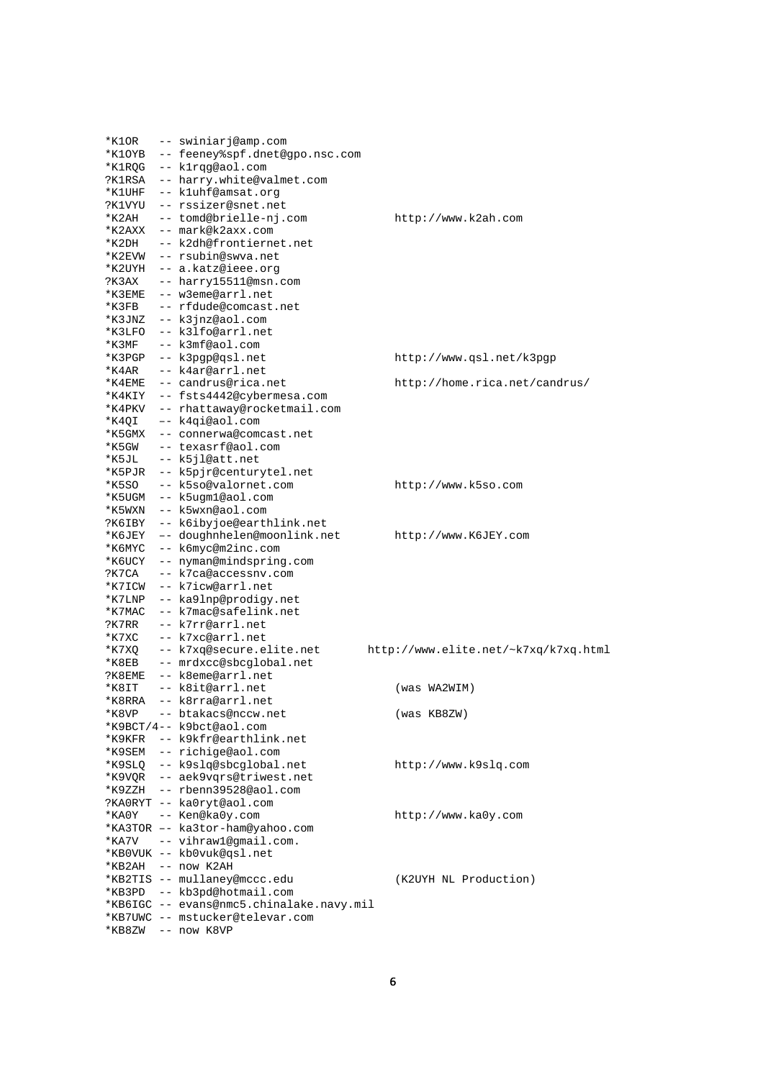| *K1OR  | -- swiniarj@amp.com                      |                                      |
|--------|------------------------------------------|--------------------------------------|
| *K1OYB | -- feeney%spf.dnet@gpo.nsc.com           |                                      |
| *K1RQG | -- klrqg@aol.com                         |                                      |
| ?K1RSA | -- harry.white@valmet.com                |                                      |
| *K1UHF | -- kluhf@amsat.org                       |                                      |
|        | ?K1VYU -- rssizer@snet.net               |                                      |
| *K2AH  | -- tomd@brielle-nj.com                   | http://www.k2ah.com                  |
| *K2AXX | -- mark@k2axx.com                        |                                      |
| *K2DH  | -- k2dh@frontiernet.net                  |                                      |
| *K2EVW | -- rsubin@swya.net                       |                                      |
| *K2UYH | -- a.katz@ieee.org                       |                                      |
| ?КЗАХ  | -- harry15511@msn.com                    |                                      |
| *K3EME | -- w3eme@arrl.net                        |                                      |
| *K3FB  | -- rfdude@comcast.net                    |                                      |
| *K3JNZ | -- k3jnz@aol.com                         |                                      |
| *K3LFO | -- k3lfo@arrl.net                        |                                      |
| *K3MF  | -- k3mf@aol.com                          |                                      |
| *K3PGP | -- k3pgp@qsl.net                         | http://www.qsl.net/k3pgp             |
| *K4AR  | -- k4ar@arrl.net                         |                                      |
| *K4EME | -- candrus@rica.net                      | http://home.rica.net/candrus/        |
| *K4KIY | -- fsts4442@cybermesa.com                |                                      |
| *K4PKV | -- rhattaway@rocketmail.com              |                                      |
| *K4QI  | -- k4qi@aol.com                          |                                      |
| *K5GMX | -- connerwa@comcast.net                  |                                      |
| *K5GW  | -- texasrf@aol.com                       |                                      |
| *K5JL  | -- k5jl@att.net                          |                                      |
| *K5PJR | -- k5pjr@centurytel.net                  |                                      |
| *K5SO  | -- k5so@valornet.com                     | http://www.k5so.com                  |
| *K5UGM | -- k5uqm1@aol.com                        |                                      |
| *K5WXN | -- k5wxn@aol.com                         |                                      |
| ?К6ІВҮ | -- k6ibyjoe@earthlink.net                |                                      |
| *K6JEY | -- doughnhelen@moonlink.net              | http://www.K6JEY.com                 |
| *K6MYC | -- k6myc@m2inc.com                       |                                      |
| *K6UCY | -- nyman@mindspring.com                  |                                      |
| ?K7CA  | -- k7ca@accessnv.com                     |                                      |
| *K7ICW | -- k7icw@arrl.net                        |                                      |
| *K7LNP | -- ka9lnp@prodigy.net                    |                                      |
| *K7MAC | -- k7mac@safelink.net                    |                                      |
| ?K7RR  | -- k7rr@arrl.net                         |                                      |
| *K7XC  | -- k7xc@arrl.net                         |                                      |
| *K7XQ  | -- k7xq@secure.elite.net                 | http://www.elite.net/~k7xq/k7xq.html |
| *K8EB  | -- mrdxcc@sbcglobal.net                  |                                      |
| ?K8EME | -- k8eme@arrl.net                        |                                      |
| *K8IT  | -- k8it@arrl.net                         | (was WA2WIM)                         |
| *K8RRA | -- k8rra@arrl.net                        |                                      |
|        | *K8VP -- btakacs@nccw.net                | (was KB8ZW)                          |
|        | *K9BCT/4-- k9bct@aol.com                 |                                      |
|        | *K9KFR -- k9kfr@earthlink.net            |                                      |
|        | *K9SEM -- richige@aol.com                |                                      |
|        | *K9SLQ -- k9slq@sbcglobal.net            | http://www.k9slq.com                 |
|        | *K9VQR -- aek9vqrs@triwest.net           |                                      |
|        | *K9ZZH -- rbenn39528@aol.com             |                                      |
|        | ?KAORYT -- kaOryt@aol.com                |                                      |
|        | *KA0Y -- Ken@ka0y.com                    | http://www.ka0y.com                  |
|        | *KA3TOR -- ka3tor-ham@yahoo.com          |                                      |
|        | *KA7V -- vihraw1@gmail.com.              |                                      |
|        | *KB0VUK -- kb0vuk@qsl.net                |                                      |
|        | *KB2AH -- now K2AH                       |                                      |
|        | *KB2TIS -- mullaney@mccc.edu             | (K2UYH NL Production)                |
|        | *KB3PD -- kb3pd@hotmail.com              |                                      |
|        | *KB6IGC -- evans@nmc5.chinalake.navy.mil |                                      |
|        | *KB7UWC -- mstucker@televar.com          |                                      |
|        |                                          |                                      |
|        | *KB8ZW -- now K8VP                       |                                      |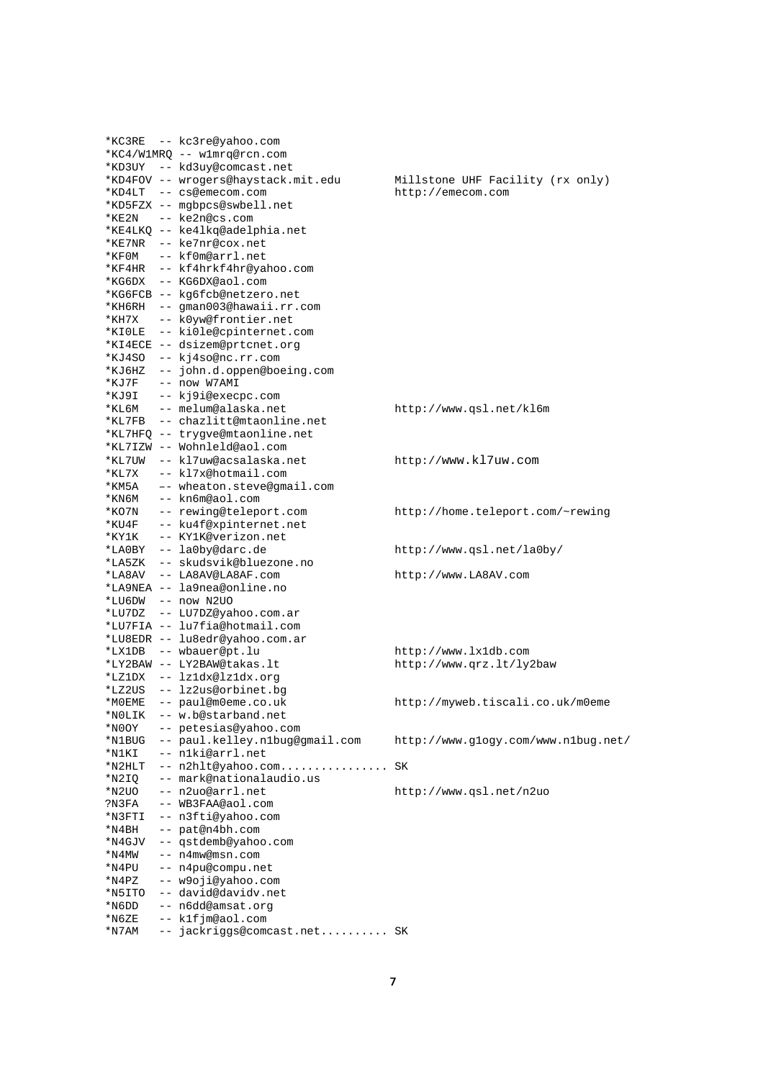|          | *KC3RE -- kc3re@yahoo.com           |                                     |
|----------|-------------------------------------|-------------------------------------|
|          | *KC4/W1MRQ -- w1mrq@rcn.com         |                                     |
|          | *KD3UY -- kd3uy@comcast.net         |                                     |
|          | *KD4FOV -- wrogers@haystack.mit.edu | Millstone UHF Facility (rx only)    |
|          | *KD4LT -- cs@emecom.com             | http://emecom.com                   |
|          | *KD5FZX -- mgbpcs@swbell.net        |                                     |
|          | *KE2N -- ke2n@cs.com                |                                     |
|          | *KE4LKQ -- ke4lkq@adelphia.net      |                                     |
|          | *KE7NR -- ke7nr@cox.net             |                                     |
| *KF0M    | -- kf0m@arrl.net                    |                                     |
|          | *KF4HR -- kf4hrkf4hr@yahoo.com      |                                     |
|          | *KG6DX -- KG6DX@aol.com             |                                     |
|          | *KG6FCB -- kg6fcb@netzero.net       |                                     |
|          | *KH6RH -- qman003@hawaii.rr.com     |                                     |
| *KH7X    | -- k0yw@frontier.net                |                                     |
| *KIOLE   | -- ki0le@cpinternet.com             |                                     |
|          | *KI4ECE -- dsizem@prtcnet.org       |                                     |
| *KJ4SO   | -- kj4so@nc.rr.com                  |                                     |
| *KJ6HZ   | -- john.d.oppen@boeing.com          |                                     |
| *KJ7F    | -- now W7AMI                        |                                     |
| *KJ9I    | -- kj9i@execpc.com                  |                                     |
|          | *KL6M -- melum@alaska.net           | http://www.qsl.net/kl6m             |
| *KL7FB   | -- chazlitt@mtaonline.net           |                                     |
|          | *KL7HFQ -- tryqve@mtaonline.net     |                                     |
|          | *KL7IZW -- Wohnleld@aol.com         |                                     |
| *KL7UW   | -- kl7uw@acsalaska.net              | http://www.kl7uw.com                |
| $*$ KL7X | -- kl7x@hotmail.com                 |                                     |
| *KM5A    | -- wheaton.steve@gmail.com          |                                     |
| *KN6M    | -- kn6m@aol.com                     |                                     |
| *KO7N    | -- rewing@teleport.com              | http://home.teleport.com/~rewing    |
| *KU4F    | -- ku4f@xpinternet.net              |                                     |
| *KY1K    | -- KY1K@verizon.net                 |                                     |
| *LA0BY   | -- la0by@darc.de                    | http://www.qsl.net/la0by/           |
|          | *LA5ZK -- skudsvik@bluezone.no      |                                     |
| *LA8AV   | -- LA8AV@LA8AF.com                  | http://www.LA8AV.com                |
|          | *LA9NEA -- la9nea@online.no         |                                     |
|          | *LU6DW -- now N2UO                  |                                     |
|          | *LU7DZ -- LU7DZ@yahoo.com.ar        |                                     |
|          | *LU7FIA -- lu7fia@hotmail.com       |                                     |
|          | *LU8EDR -- lu8edr@yahoo.com.ar      |                                     |
|          | *LX1DB -- wbauer@pt.lu              | http://www.lxldb.com                |
|          | *LY2BAW -- LY2BAW@takas.lt          | http://www.qrz.lt/ly2baw            |
|          | *LZ1DX -- lz1dx@lz1dx.org           |                                     |
|          | *LZ2US -- lz2us@orbinet.bq          |                                     |
| *MOEME   | -- paul@m0eme.co.uk                 | http://myweb.tiscali.co.uk/m0eme    |
| *NOLIK   | -- w.b@starband.net                 |                                     |
| *NOOY    | -- petesias@yahoo.com               |                                     |
| *N1BUG   | -- paul.kelley.nlbug@gmail.com      | http://www.glogy.com/www.nlbug.net/ |
| *N1KI    | -- n1ki@arrl.net                    |                                     |
| *N2HLT   | -- n2hlt@yahoo.com                  | SK                                  |
| $*$ N2IO | -- mark@nationalaudio.us            |                                     |
| *N2UO    | -- n2uo@arrl.net                    | http://www.qsl.net/n2uo             |
| ?N3FA    | -- WB3FAA@aol.com                   |                                     |
| *N3FTI   | -- n3fti@yahoo.com                  |                                     |
| *N4BH    | -- pat@n4bh.com                     |                                     |
| *N4GJV   | -- qstdemb@yahoo.com                |                                     |
| *N4MW    | -- n4mw@msn.com                     |                                     |
| *N4PU    | -- n4pu@compu.net                   |                                     |
| *N4PZ    | -- w9oji@yahoo.com                  |                                     |
| *N5ITO   | -- david@davidv.net                 |                                     |
| *N6DD    | -- n6dd@amsat.org                   |                                     |
| *N6ZE    | -- k1fjm@aol.com                    |                                     |
| *N7AM    | -- jackriggs@comcast.net SK         |                                     |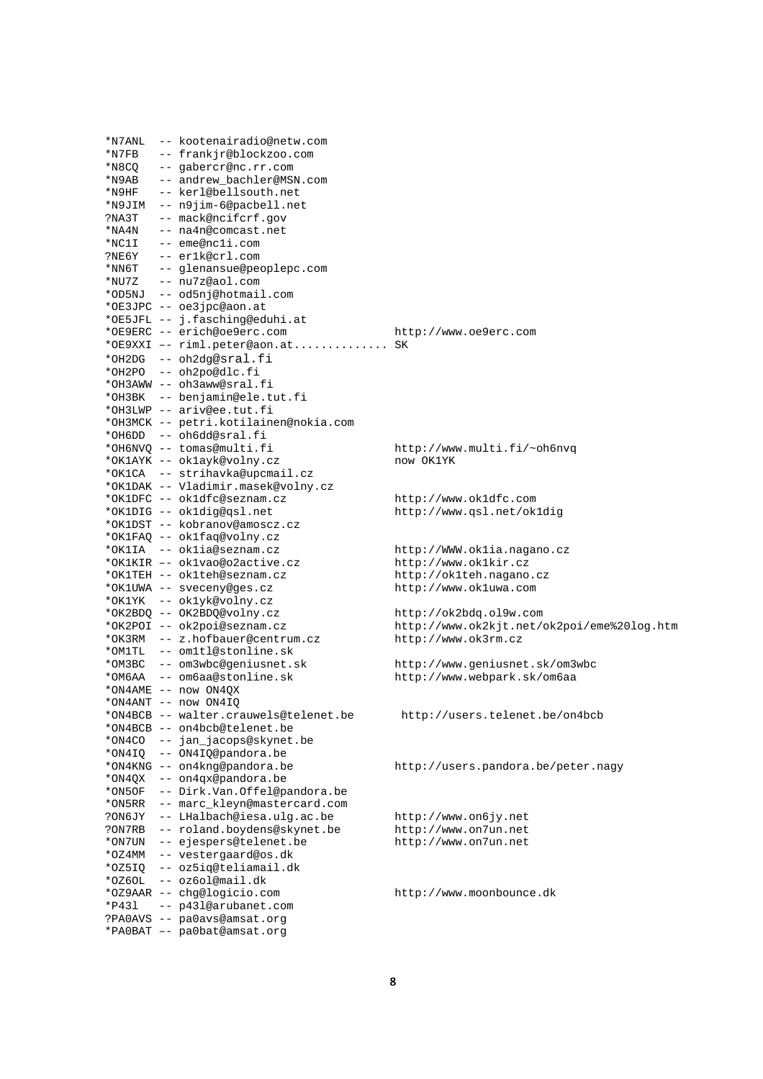| *N7ANL         | -- kootenairadio@netw.com             |                                            |
|----------------|---------------------------------------|--------------------------------------------|
| $*_{\rm N7FB}$ | -- frankjr@blockzoo.com               |                                            |
| *N8CQ          | -- gabercr@nc.rr.com                  |                                            |
| *N9AB          | -- andrew bachler@MSN.com             |                                            |
| *N9HF          | -- kerl@bellsouth.net                 |                                            |
|                | *N9JIM -- n9jim-6@pacbell.net         |                                            |
| ?NA3T          | -- mack@ncifcrf.gov                   |                                            |
| *NA4N          | -- na4n@comcast.net                   |                                            |
| $*$ NC1I       | -- eme@ncli.com                       |                                            |
|                | ?NE6Y -- er1k@crl.com                 |                                            |
|                | *NN6T -- glenansue@peoplepc.com       |                                            |
|                | *NU7Z -- nu7z@aol.com                 |                                            |
|                | *OD5NJ -- od5nj@hotmail.com           |                                            |
|                | *OE3JPC -- oe3jpc@aon.at              |                                            |
|                | *OE5JFL -- j.fasching@eduhi.at        |                                            |
|                |                                       |                                            |
|                | *OE9ERC -- erich@oe9erc.com           | http://www.oe9erc.com                      |
|                | *OE9XXI -- riml.peter@aon.at SK       |                                            |
|                | *OH2DG -- oh2dq@sral.fi               |                                            |
|                | *OH2PO -- oh2po@dlc.fi                |                                            |
|                | *OH3AWW -- oh3aww@sral.fi             |                                            |
|                | *OH3BK -- benjamin@ele.tut.fi         |                                            |
|                | *OH3LWP -- ariv@ee.tut.fi             |                                            |
|                | *OH3MCK -- petri.kotilainen@nokia.com |                                            |
|                | *OH6DD -- oh6dd@sral.fi               |                                            |
|                | *OH6NVO -- tomas@multi.fi             | http://www.multi.fi/~oh6nvq                |
|                | *OK1AYK -- ok1ayk@volny.cz            | now OK1YK                                  |
|                | *OK1CA -- strihavka@upcmail.cz        |                                            |
|                | *OK1DAK -- Vladimir.masek@volny.cz    |                                            |
|                | *OK1DFC -- ok1dfc@seznam.cz           | http://www.okldfc.com                      |
|                |                                       |                                            |
|                | *OK1DIG -- ok1dig@qsl.net             | http://www.qsl.net/okldig                  |
|                | *OK1DST -- kobranov@amoscz.cz         |                                            |
|                | *OK1FAQ -- ok1faq@volny.cz            |                                            |
|                | *OK1IA -- oklia@seznam.cz             | http://WWW.oklia.nagano.cz                 |
|                | *OK1KIR -- ok1vao@o2active.cz         | http://www.ok1kir.cz                       |
|                | *OK1TEH -- ok1teh@seznam.cz           | http://ok1teh.nagano.cz                    |
|                | *OK1UWA -- sveceny@ges.cz             | http://www.okluwa.com                      |
|                | *OK1YK -- ok1yk@volny.cz              |                                            |
|                | *OK2BDQ -- OK2BDQ@volny.cz            | http://ok2bdq.ol9w.com                     |
|                | *OK2POI -- ok2poi@seznam.cz           | http://www.ok2kjt.net/ok2poi/eme%20log.htm |
|                | *OK3RM -- z.hofbauer@centrum.cz       | http://www.ok3rm.cz                        |
|                | *OM1TL -- om1tl@stonline.sk           |                                            |
|                | *OM3BC -- om3wbc@geniusnet.sk         | http://www.geniusnet.sk/om3wbc             |
|                | *OM6AA -- om6aa@stonline.sk           | http://www.webpark.sk/om6aa                |
|                | *ON4AME -- now ON4QX                  |                                            |
|                | *ON4ANT -- now ON4IO                  |                                            |
|                | *ON4BCB -- walter.crauwels@telenet.be | http://users.telenet.be/on4bcb             |
|                | *ON4BCB -- on4bcb@telenet.be          |                                            |
| *ON4CO         | -- jan_jacops@skynet.be               |                                            |
| *ON4IQ         | -- ON4IQ@pandora.be                   |                                            |
|                | *ON4KNG -- on4kng@pandora.be          | http://users.pandora.be/peter.nagy         |
|                | -- on4qx@pandora.be                   |                                            |
| *ON4QX         |                                       |                                            |
| *ON5OF         | -- Dirk.Van.Offel@pandora.be          |                                            |
| *ON5RR         | -- marc_kleyn@mastercard.com          |                                            |
| ?ON6JY         | -- LHalbach@iesa.ulg.ac.be            | http://www.on6jy.net                       |
| ?ON7RB         | -- roland.boydens@skynet.be           | http://www.on7un.net                       |
| *ON7UN         | -- ejespers@telenet.be                | http://www.on7un.net                       |
| *OZ4MM         | -- vestergaard@os.dk                  |                                            |
| *OZ5IQ         | -- oz5iq@teliamail.dk                 |                                            |
|                | *OZ6OL -- oz6ol@mail.dk               |                                            |
|                | *OZ9AAR -- chq@logicio.com            | http://www.moonbounce.dk                   |
| *P431          | -- p431@arubanet.com                  |                                            |
|                | ?PA0AVS -- pa0avs@amsat.org           |                                            |
|                | *PA0BAT -- pa0bat@amsat.org           |                                            |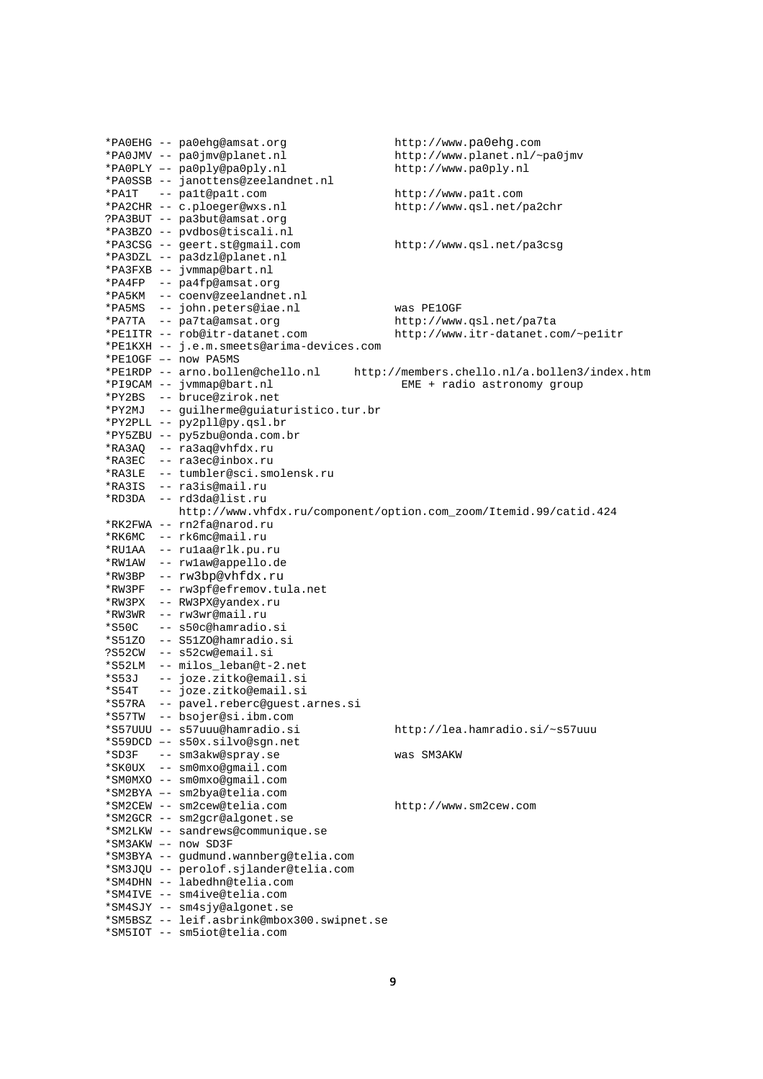|          | *PAOEHG -- pa0ehq@amsat.org                                  | http://www.pa0ehg.com                                             |
|----------|--------------------------------------------------------------|-------------------------------------------------------------------|
|          | *PA0JMV -- pa0jmv@planet.nl                                  | http://www.planet.nl/~pa0jmv                                      |
|          | *PAOPLY -- pa0ply@pa0ply.nl                                  | http://www.pa0ply.nl                                              |
|          | *PA0SSB -- janottens@zeelandnet.nl                           |                                                                   |
| *PA1T    | -- palt@palt.com                                             | http://www.palt.com                                               |
|          | *PA2CHR -- c.ploeger@wxs.nl                                  | http://www.qsl.net/pa2chr                                         |
|          | ?PA3BUT -- pa3but@amsat.org                                  |                                                                   |
|          | *PA3BZO -- pvdbos@tiscali.nl                                 |                                                                   |
|          | *PA3CSG -- geert.st@gmail.com                                | http://www.qsl.net/pa3csq                                         |
|          | *PA3DZL -- pa3dzl@planet.nl                                  |                                                                   |
|          | *PA3FXB -- jvmmap@bart.nl                                    |                                                                   |
|          | *PA4FP -- pa4fp@amsat.org                                    |                                                                   |
|          | *PA5KM -- coenv@zeelandnet.nl                                |                                                                   |
|          | *PA5MS -- john.peters@iae.nl                                 | was PE1OGF                                                        |
|          | *PA7TA -- pa7ta@amsat.org                                    | http://www.qsl.net/pa7ta                                          |
|          | *PElITR -- rob@itr-datanet.com                               | http://www.itr-datanet.com/~pelitr                                |
|          | *PE1KXH -- j.e.m.smeets@arima-devices.com                    |                                                                   |
|          | *PE1OGF -- now PA5MS                                         |                                                                   |
|          | *PE1RDP -- arno.bollen@chello.nl                             | http://members.chello.nl/a.bollen3/index.htm                      |
|          | *PI9CAM -- jvmmap@bart.nl                                    | EME + radio astronomy group                                       |
|          | *PY2BS -- bruce@zirok.net                                    |                                                                   |
|          | *PY2MJ -- quilherme@quiaturistico.tur.br                     |                                                                   |
|          | *PY2PLL -- py2pll@py.qsl.br<br>*PY5ZBU -- py5zbu@onda.com.br |                                                                   |
|          | *RA3AO -- ra3aq@vhfdx.ru                                     |                                                                   |
|          | *RA3EC -- ra3ec@inbox.ru                                     |                                                                   |
|          | *RA3LE -- tumbler@sci.smolensk.ru                            |                                                                   |
|          | *RA3IS -- ra3is@mail.ru                                      |                                                                   |
|          | *RD3DA -- rd3da@list.ru                                      |                                                                   |
|          |                                                              | http://www.vhfdx.ru/component/option.com_zoom/Itemid.99/catid.424 |
|          | *RK2FWA -- rn2fa@narod.ru                                    |                                                                   |
|          | *RK6MC -- rk6mc@mail.ru                                      |                                                                   |
| *RU1AA   | -- rulaa@rlk.pu.ru                                           |                                                                   |
| *RW1AW   | -- rwlaw@appello.de                                          |                                                                   |
| *RW3BP   | -- rw3bp@vhfdx.ru                                            |                                                                   |
| *RW3PF   | -- rw3pf@efremov.tula.net                                    |                                                                   |
| *RW3PX   | -- RW3PX@yandex.ru                                           |                                                                   |
|          | *RW3WR -- rw3wr@mail.ru                                      |                                                                   |
| *S50C    | -- s50c@hamradio.si                                          |                                                                   |
| *S51ZO   | -- S51Z0@hamradio.si                                         |                                                                   |
| ?S52CW   | -- s52cw@email.si                                            |                                                                   |
| *S52LM   | -- milos leban@t-2.net                                       |                                                                   |
| $*$ S53J | -- joze.zitko@email.si                                       |                                                                   |
| *S54T    | -- joze.zitko@email.si                                       |                                                                   |
|          | *S57RA -- pavel.reberc@quest.arnes.si                        |                                                                   |
|          | *S57TW -- bsojer@si.ibm.com                                  |                                                                   |
|          | *S57UUU -- s57uuu@hamradio.si                                | http://lea.hamradio.si/~s57uuu                                    |
|          | *S59DCD -- s50x.silvo@sqn.net                                |                                                                   |
| *SD3F    | -- sm3akw@spray.se                                           | was SM3AKW                                                        |
|          | *SKOUX -- sm0mxo@qmail.com                                   |                                                                   |
|          | *SM0MXO -- sm0mxo@qmail.com                                  |                                                                   |
|          | *SM2BYA -- sm2bya@telia.com                                  |                                                                   |
|          | *SM2CEW -- sm2cew@telia.com                                  | http://www.sm2cew.com                                             |
|          | *SM2GCR -- sm2gcr@algonet.se                                 |                                                                   |
|          | *SM2LKW -- sandrews@communique.se                            |                                                                   |
|          | *SM3AKW -- now SD3F                                          |                                                                   |
|          | *SM3BYA -- qudmund.wannberg@telia.com                        |                                                                   |
|          | *SM3JQU -- perolof.sjlander@telia.com                        |                                                                   |
|          | *SM4DHN -- labedhn@telia.com                                 |                                                                   |
|          | *SM4IVE -- sm4ive@telia.com                                  |                                                                   |
|          | *SM4SJY -- sm4sjy@algonet.se                                 |                                                                   |
|          | *SM5BSZ -- leif.asbrink@mbox300.swipnet.se                   |                                                                   |
|          | *SM5IOT -- sm5iot@telia.com                                  |                                                                   |
|          |                                                              |                                                                   |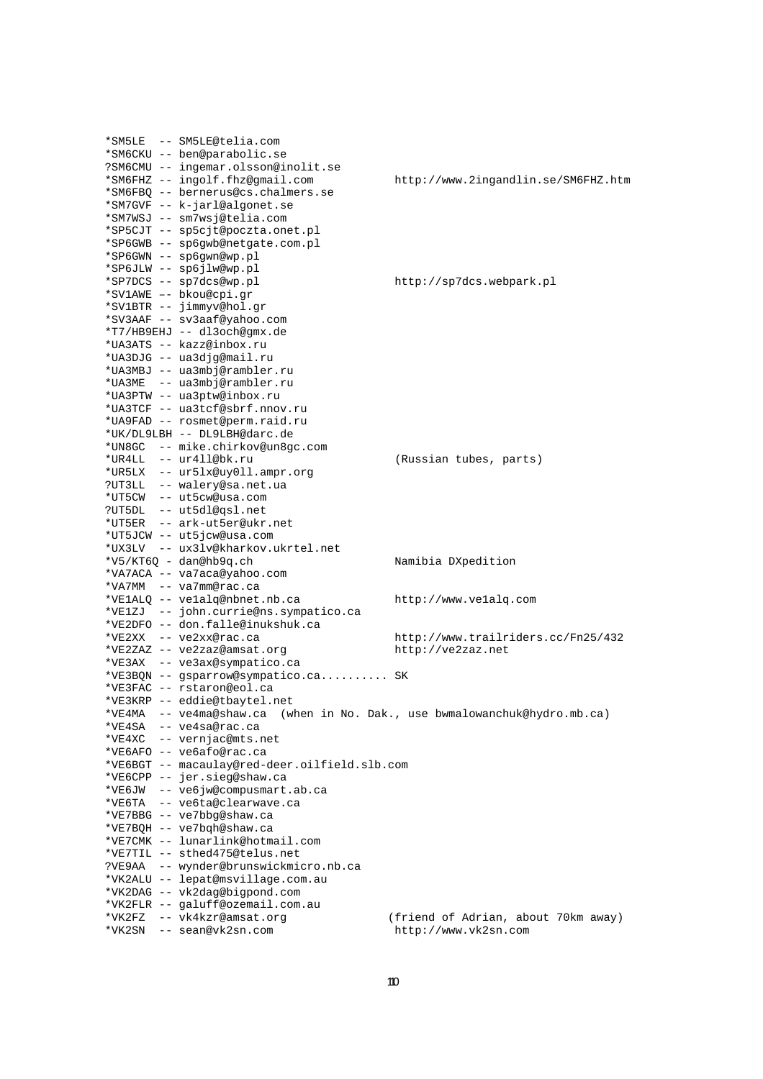|        | *SM5LE -- SM5LE@telia.com                                 |                                                                           |
|--------|-----------------------------------------------------------|---------------------------------------------------------------------------|
|        |                                                           |                                                                           |
|        | *SM6CKU -- ben@parabolic.se                               |                                                                           |
|        | ?SM6CMU -- ingemar.olsson@inolit.se                       |                                                                           |
|        | *SM6FHZ -- ingolf.fhz@gmail.com                           | http://www.2ingandlin.se/SM6FHZ.htm                                       |
|        | *SM6FBQ -- bernerus@cs.chalmers.se                        |                                                                           |
|        | *SM7GVF -- k-jarl@algonet.se                              |                                                                           |
|        | *SM7WSJ -- sm7wsj@telia.com                               |                                                                           |
|        | *SP5CJT -- sp5cjt@poczta.onet.pl                          |                                                                           |
|        | *SP6GWB -- sp6gwb@netgate.com.pl                          |                                                                           |
|        | *SP6GWN -- sp6gwn@wp.pl                                   |                                                                           |
|        | *SP6JLW -- sp6jlw@wp.pl                                   |                                                                           |
|        | *SP7DCS -- sp7dcs@wp.pl                                   | http://sp7dcs.webpark.pl                                                  |
|        | *SV1AWE -- bkou@cpi.gr                                    |                                                                           |
|        | *SV1BTR -- jimmyv@hol.gr                                  |                                                                           |
|        | *SV3AAF -- sv3aaf@yahoo.com                               |                                                                           |
|        | *T7/HB9EHJ -- dl3och@gmx.de                               |                                                                           |
|        | *UA3ATS -- kazz@inbox.ru                                  |                                                                           |
|        |                                                           |                                                                           |
|        | *UA3DJG -- ua3djg@mail.ru                                 |                                                                           |
|        | *UA3MBJ -- ua3mbj@rambler.ru                              |                                                                           |
|        | *UA3ME -- ua3mbj@rambler.ru                               |                                                                           |
|        | *UA3PTW -- ua3ptw@inbox.ru                                |                                                                           |
|        | *UA3TCF -- ua3tcf@sbrf.nnov.ru                            |                                                                           |
|        | *UA9FAD -- rosmet@perm.raid.ru                            |                                                                           |
|        | *UK/DL9LBH -- DL9LBH@darc.de                              |                                                                           |
|        | *UN8GC -- mike.chirkov@un8gc.com                          |                                                                           |
|        | *UR4LL -- ur4ll@bk.ru                                     | (Russian tubes, parts)                                                    |
|        | *UR5LX -- ur5lx@uy011.ampr.org                            |                                                                           |
|        | ?UT3LL -- walery@sa.net.ua                                |                                                                           |
|        | *UT5CW -- ut5cw@usa.com                                   |                                                                           |
|        |                                                           |                                                                           |
|        | ?UT5DL -- ut5dl@qsl.net                                   |                                                                           |
|        | *UT5ER -- ark-ut5er@ukr.net                               |                                                                           |
|        | *UT5JCW -- ut5jcw@usa.com                                 |                                                                           |
|        | *UX3LV -- ux3lv@kharkov.ukrtel.net                        |                                                                           |
|        | $*V5/KT6Q - dan@hb9q.ch$                                  | Namibia DXpedition                                                        |
|        | *VA7ACA -- va7aca@yahoo.com                               |                                                                           |
|        | *VA7MM -- va7mm@rac.ca                                    |                                                                           |
|        |                                                           |                                                                           |
|        | *VE1ALQ -- ve1alq@nbnet.nb.ca                             | http://www.velalq.com                                                     |
|        | *VE1ZJ -- john.currie@ns.sympatico.ca                     |                                                                           |
|        | *VE2DFO -- don.falle@inukshuk.ca                          |                                                                           |
|        |                                                           |                                                                           |
|        | *VE2XX -- ve2xx@rac.ca                                    | http://www.trailriders.cc/Fn25/432                                        |
|        | *VE2ZAZ -- ve2zaz@amsat.org                               | http://ve2zaz.net                                                         |
|        | *VE3AX -- ve3ax@sympatico.ca                              |                                                                           |
|        | *VE3BQN -- gsparrow@sympatico.ca SK                       |                                                                           |
|        | *VE3FAC -- rstaron@eol.ca                                 |                                                                           |
|        | *VE3KRP -- eddie@tbaytel.net                              |                                                                           |
|        |                                                           | *VE4MA -- ve4ma@shaw.ca (when in No. Dak., use bwmalowanchuk@hydro.mb.ca) |
|        | *VE4SA -- ve4sa@rac.ca                                    |                                                                           |
|        | *VE4XC -- vernjac@mts.net                                 |                                                                           |
|        | *VE6AFO -- ve6afo@rac.ca                                  |                                                                           |
|        | *VE6BGT -- macaulay@red-deer.oilfield.slb.com             |                                                                           |
|        | *VE6CPP -- jer.sieg@shaw.ca                               |                                                                           |
|        |                                                           |                                                                           |
| *VE6TA | *VE6JW -- ve6jw@compusmart.ab.ca<br>-- ve6ta@clearwave.ca |                                                                           |
|        |                                                           |                                                                           |
|        | *VE7BBG -- ve7bbg@shaw.ca                                 |                                                                           |
|        | *VE7BQH -- ve7bqh@shaw.ca                                 |                                                                           |
|        | *VE7CMK -- lunarlink@hotmail.com                          |                                                                           |
|        | *VE7TIL -- sthed475@telus.net                             |                                                                           |
|        | ?VE9AA -- wynder@brunswickmicro.nb.ca                     |                                                                           |
|        | *VK2ALU -- lepat@msvillage.com.au                         |                                                                           |
|        | *VK2DAG -- vk2dag@bigpond.com                             |                                                                           |
|        | *VK2FLR -- galuff@ozemail.com.au                          |                                                                           |
| *VK2FZ | -- vk4kzr@amsat.org<br>*VK2SN -- sean@vk2sn.com           | (friend of Adrian, about 70km away)<br>http://www.vk2sn.com               |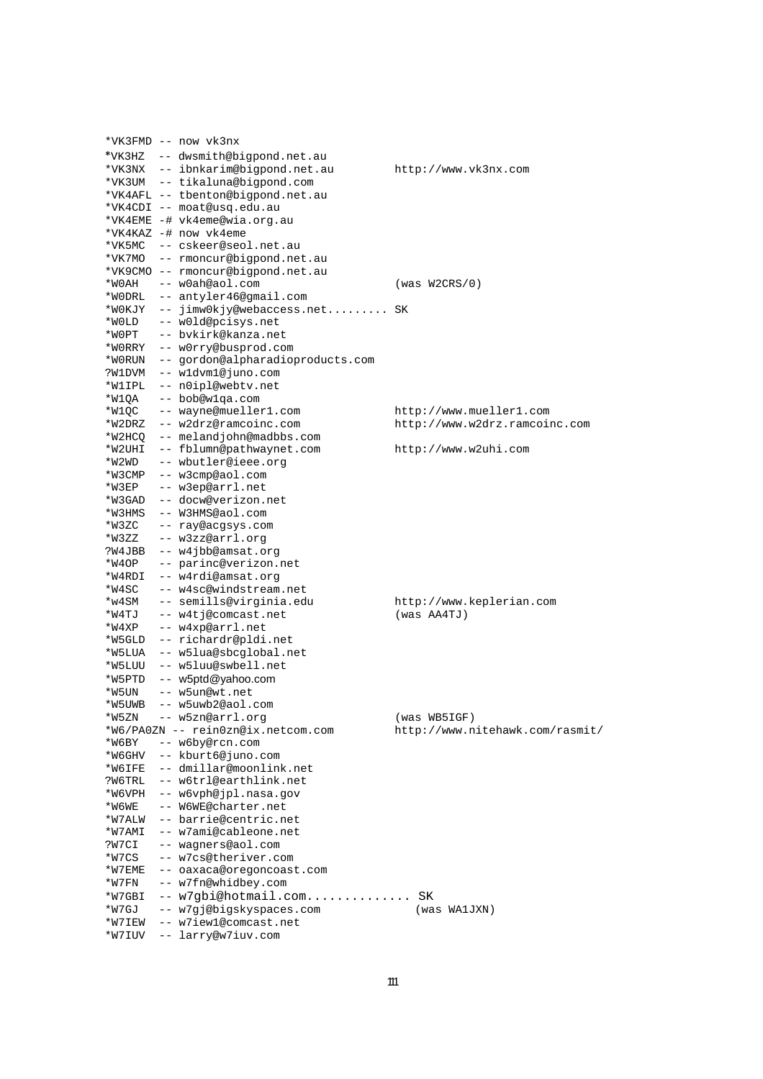|        | *VK3FMD -- now vk3nx               |                                 |
|--------|------------------------------------|---------------------------------|
|        | *VK3HZ -- dwsmith@bigpond.net.au   |                                 |
|        | *VK3NX -- ibnkarim@bigpond.net.au  | http://www.vk3nx.com            |
|        | *VK3UM -- tikaluna@biqpond.com     |                                 |
|        | *VK4AFL -- tbenton@bigpond.net.au  |                                 |
|        | *VK4CDI -- moat@usq.edu.au         |                                 |
|        | *VK4EME -# vk4eme@wia.org.au       |                                 |
|        | *VK4KAZ -# now vk4eme              |                                 |
|        | *VK5MC -- cskeer@seol.net.au       |                                 |
|        |                                    |                                 |
|        | *VK7MO -- rmoncur@bigpond.net.au   |                                 |
|        | *VK9CMO -- rmoncur@bigpond.net.au  |                                 |
|        | *WOAH -- wOah@aol.com              | (was W2CRS/0)                   |
| *WODRL | -- antyler46@gmail.com             |                                 |
| *WOKJY | -- jimw0kjy@webaccess.net SK       |                                 |
| *WOLD  | -- w0ld@pcisys.net                 |                                 |
| *WOPT  | -- bvkirk@kanza.net                |                                 |
| *WORRY | -- w0rry@busprod.com               |                                 |
| *WORUN | -- gordon@alpharadioproducts.com   |                                 |
| ?W1DVM | -- wldvml@juno.com                 |                                 |
| *W1IPL | -- n0ipl@webtv.net                 |                                 |
| *W1OA  | -- bob@wlqa.com                    |                                 |
| *W1QC  | -- wayne@mueller1.com              | http://www.mueller1.com         |
| *W2DRZ | -- w2drz@ramcoinc.com              | http://www.w2drz.ramcoinc.com   |
| *W2HCQ | -- melandjohn@madbbs.com           |                                 |
| *W2UHI | -- fblumn@pathwaynet.com           | http://www.w2uhi.com            |
| *W2WD  | -- wbutler@ieee.org                |                                 |
| *W3CMP | -- w3cmp@aol.com                   |                                 |
| *W3EP  | -- w3ep@arrl.net                   |                                 |
| *W3GAD | -- docw@verizon.net                |                                 |
| *W3HMS | -- W3HMS@aol.com                   |                                 |
|        |                                    |                                 |
| *W3ZC  | -- ray@acgsys.com                  |                                 |
| *W3ZZ  | -- w3zz@arrl.org                   |                                 |
| ?W4JBB | -- w4jbb@amsat.org                 |                                 |
| *W4OP  | -- parinc@verizon.net              |                                 |
| *W4RDI | -- w4rdi@amsat.org                 |                                 |
| *W4SC  | -- w4sc@windstream.net             |                                 |
| *w4SM  | -- semills@virginia.edu            | http://www.keplerian.com        |
| *W4TJ  | -- w4tj@comcast.net                | $(was$ AA4TJ)                   |
| *W4XP  | -- w4xp@arrl.net                   |                                 |
| *W5GLD | -- richardr@pldi.net               |                                 |
| *W5LUA | -- w5lua@sbcglobal.net             |                                 |
| *W5LUU | -- w5luu@swbell.net                |                                 |
| *W5PTD | -- w5ptd@yahoo.com                 |                                 |
| *W5UN  | -- w5un@wt.net                     |                                 |
|        | *W5UWB -- w5uwb2@aol.com           |                                 |
| *W5ZN  | -- w5zn@arrl.org                   | (was WBSIGF)                    |
|        | *W6/PA0ZN -- rein0zn@ix.netcom.com | http://www.nitehawk.com/rasmit/ |
| *W6BY  | -- w6by@rcn.com                    |                                 |
| *W6GHV | -- kburt6@juno.com                 |                                 |
| *W6IFE | -- dmillar@moonlink.net            |                                 |
| ?W6TRL | -- w6trl@earthlink.net             |                                 |
| *W6VPH | -- w6vph@jpl.nasa.gov              |                                 |
| *W6WE  | -- W6WE@charter.net                |                                 |
| *W7ALW | -- barrie@centric.net              |                                 |
| *W7AMI | -- w7ami@cableone.net              |                                 |
| ?W7CI  | -- wagners@aol.com                 |                                 |
| *W7CS  | -- w7cs@theriver.com               |                                 |
|        |                                    |                                 |
| *W7EME | -- oaxaca@oregoncoast.com          |                                 |
| *W7FN  | -- w7fn@whidbey.com                |                                 |
| *W7GBI | -- w7gbi@hotmail.com SK            |                                 |
| *W7GJ  | -- w7gj@bigskyspaces.com           | (was WA1JXN)                    |
| *W7IEW | -- w7iew1@comcast.net              |                                 |
| *W7IUV | -- larry@w7iuv.com                 |                                 |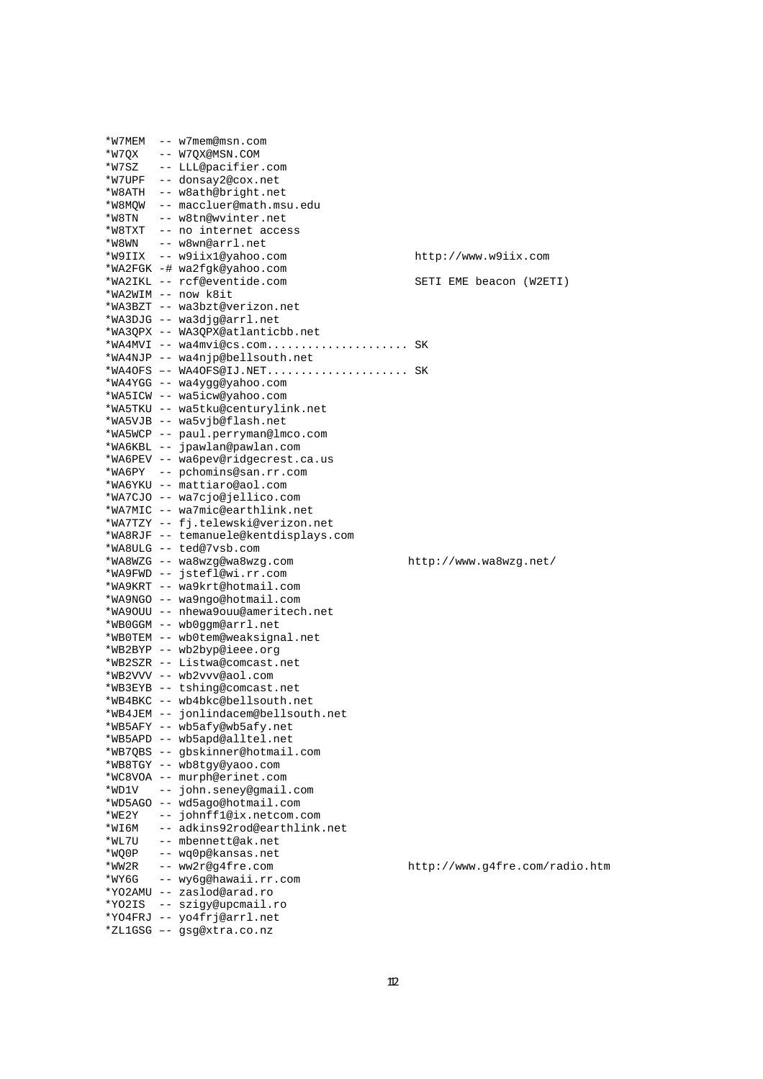|       | *W7MEM -- w7mem@msn.com                                          |                                |
|-------|------------------------------------------------------------------|--------------------------------|
|       | *W7QX -- W7QX@MSN.COM                                            |                                |
|       | *W7SZ -- LLL@pacifier.com                                        |                                |
|       | *W7UPF -- donsay2@cox.net                                        |                                |
|       | *W8ATH -- w8ath@bright.net                                       |                                |
|       | *W8MQW -- maccluer@math.msu.edu                                  |                                |
| *W8TN | -- w8tn@wvinter.net                                              |                                |
|       | *W8TXT -- no internet access                                     |                                |
|       | *W8WN -- w8wn@arrl.net                                           |                                |
|       | *W9IIX -- w9iix1@yahoo.com                                       | http://www.w9iix.com           |
|       | *WA2FGK -# wa2fgk@yahoo.com                                      |                                |
|       | *WA2IKL -- rcf@eventide.com                                      | SETI EME beacon (W2ETI)        |
|       | *WA2WIM -- now k8it                                              |                                |
|       | *WA3BZT -- wa3bzt@verizon.net                                    |                                |
|       | *WA3DJG -- wa3djg@arrl.net                                       |                                |
|       | *WA3QPX -- WA3QPX@atlanticbb.net                                 |                                |
|       | *WA4MVI -- wa4mvi@cs.com SK                                      |                                |
|       | *WA4NJP -- wa4njp@bellsouth.net                                  |                                |
|       | *WA4OFS -- WA4OFS@IJ.NET SK                                      |                                |
|       | *WA4YGG -- wa4ygg@yahoo.com                                      |                                |
|       | *WA5ICW -- wa5icw@yahoo.com                                      |                                |
|       | *WA5TKU -- wa5tku@centurylink.net                                |                                |
|       | *WA5VJB -- wa5vjb@flash.net                                      |                                |
|       | *WA5WCP -- paul.perryman@lmco.com                                |                                |
|       | *WA6KBL -- jpawlan@pawlan.com                                    |                                |
|       | *WA6PEV -- wa6pev@ridgecrest.ca.us                               |                                |
|       | *WA6PY -- pchomins@san.rr.com                                    |                                |
|       | *WA6YKU -- mattiaro@aol.com                                      |                                |
|       |                                                                  |                                |
|       | *WA7CJO -- wa7cjo@jellico.com<br>*WA7MIC -- wa7mic@earthlink.net |                                |
|       |                                                                  |                                |
|       |                                                                  |                                |
|       | *WA7TZY -- fj.telewski@verizon.net                               |                                |
|       | *WA8RJF -- temanuele@kentdisplays.com                            |                                |
|       | *WA8ULG -- ted@7vsb.com                                          |                                |
|       | *WA8WZG -- wa8wzg@wa8wzg.com                                     | http://www.wa8wzg.net/         |
|       | *WA9FWD -- jstefl@wi.rr.com                                      |                                |
|       | *WA9KRT -- wa9krt@hotmail.com                                    |                                |
|       | *WA9NGO -- wa9ngo@hotmail.com                                    |                                |
|       | *WA9OUU -- nhewa9ouu@ameritech.net                               |                                |
|       | *WBOGGM -- wbOggm@arrl.net                                       |                                |
|       | *WBOTEM -- wb0tem@weaksignal.net                                 |                                |
|       | *WB2BYP -- wb2byp@ieee.org                                       |                                |
|       | *WB2SZR -- Listwa@comcast.net                                    |                                |
|       | *WB2VVV -- wb2vvv@aol.com                                        |                                |
|       | *WB3EYB -- tshing@comcast.net                                    |                                |
|       | *WB4BKC -- wb4bkc@bellsouth.net                                  |                                |
|       | *WB4JEM -- jonlindacem@bellsouth.net                             |                                |
|       | *WB5AFY -- wb5afy@wb5afy.net                                     |                                |
|       | *WB5APD -- wb5apd@alltel.net                                     |                                |
|       | *WB7OBS -- qbskinner@hotmail.com                                 |                                |
|       | *WB8TGY -- wb8tgy@yaoo.com                                       |                                |
|       | *WC8VOA -- murph@erinet.com                                      |                                |
| *WD1V | -- john.seney@gmail.com                                          |                                |
|       | *WD5AGO -- wd5ago@hotmail.com                                    |                                |
| *WE2Y | -- johnffl@ix.netcom.com                                         |                                |
| *WI6M | -- adkins92rod@earthlink.net                                     |                                |
| *WL7U | -- mbennett@ak.net                                               |                                |
| *WQ0P | -- wq0p@kansas.net                                               |                                |
| *WW2R | -- ww2r@g4fre.com                                                | http://www.g4fre.com/radio.htm |
| *WY6G | -- wy6g@hawaii.rr.com                                            |                                |
|       | *YO2AMU -- zaslod@arad.ro                                        |                                |
|       | *YO2IS -- szigy@upcmail.ro                                       |                                |
|       | *YO4FRJ -- yo4frj@arrl.net                                       |                                |